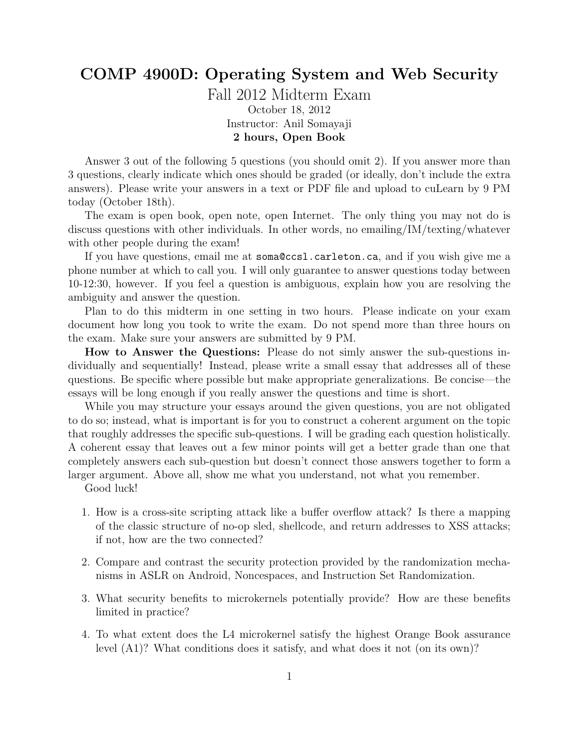## COMP 4900D: Operating System and Web Security

Fall 2012 Midterm Exam October 18, 2012 Instructor: Anil Somayaji 2 hours, Open Book

Answer 3 out of the following 5 questions (you should omit 2). If you answer more than 3 questions, clearly indicate which ones should be graded (or ideally, don't include the extra answers). Please write your answers in a text or PDF file and upload to cuLearn by 9 PM today (October 18th).

The exam is open book, open note, open Internet. The only thing you may not do is discuss questions with other individuals. In other words, no emailing/IM/texting/whatever with other people during the exam!

If you have questions, email me at soma@ccsl.carleton.ca, and if you wish give me a phone number at which to call you. I will only guarantee to answer questions today between 10-12:30, however. If you feel a question is ambiguous, explain how you are resolving the ambiguity and answer the question.

Plan to do this midterm in one setting in two hours. Please indicate on your exam document how long you took to write the exam. Do not spend more than three hours on the exam. Make sure your answers are submitted by 9 PM.

How to Answer the Questions: Please do not simly answer the sub-questions individually and sequentially! Instead, please write a small essay that addresses all of these questions. Be specific where possible but make appropriate generalizations. Be concise—the essays will be long enough if you really answer the questions and time is short.

While you may structure your essays around the given questions, you are not obligated to do so; instead, what is important is for you to construct a coherent argument on the topic that roughly addresses the specific sub-questions. I will be grading each question holistically. A coherent essay that leaves out a few minor points will get a better grade than one that completely answers each sub-question but doesn't connect those answers together to form a larger argument. Above all, show me what you understand, not what you remember.

Good luck!

- 1. How is a cross-site scripting attack like a buffer overflow attack? Is there a mapping of the classic structure of no-op sled, shellcode, and return addresses to XSS attacks; if not, how are the two connected?
- 2. Compare and contrast the security protection provided by the randomization mechanisms in ASLR on Android, Noncespaces, and Instruction Set Randomization.
- 3. What security benefits to microkernels potentially provide? How are these benefits limited in practice?
- 4. To what extent does the L4 microkernel satisfy the highest Orange Book assurance level (A1)? What conditions does it satisfy, and what does it not (on its own)?